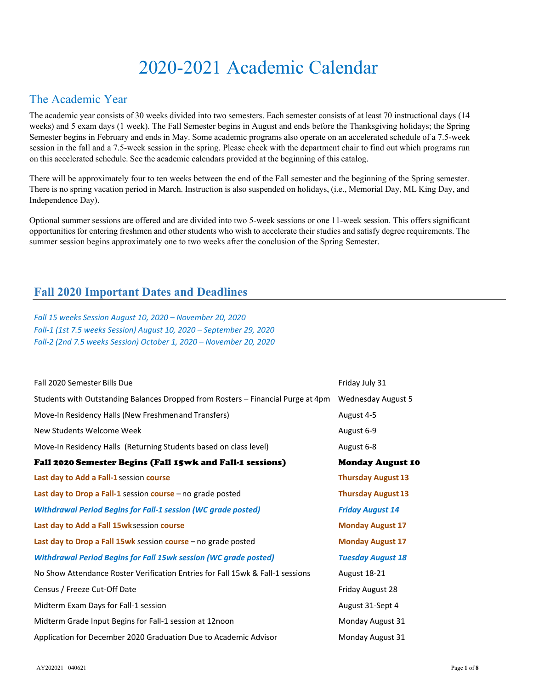# 2020-2021 Academic Calendar

### The Academic Year

The academic year consists of 30 weeks divided into two semesters. Each semester consists of at least 70 instructional days (14 weeks) and 5 exam days (1 week). The Fall Semester begins in August and ends before the Thanksgiving holidays; the Spring Semester begins in February and ends in May. Some academic programs also operate on an accelerated schedule of a 7.5-week session in the fall and a 7.5-week session in the spring. Please check with the department chair to find out which programs run on this accelerated schedule. See the academic calendars provided at the beginning of this catalog.

There will be approximately four to ten weeks between the end of the Fall semester and the beginning of the Spring semester. There is no spring vacation period in March. Instruction is also suspended on holidays, (i.e., Memorial Day, ML King Day, and Independence Day).

Optional summer sessions are offered and are divided into two 5-week sessions or one 11-week session. This offers significant opportunities for entering freshmen and other students who wish to accelerate their studies and satisfy degree requirements. The summer session begins approximately one to two weeks after the conclusion of the Spring Semester.

### **Fall 2020 Important Dates and Deadlines**

*Fall 15 weeks Session August 10, 2020 – November 20, 2020 Fall-1 (1st 7.5 weeks Session) August 10, 2020 – September 29, 2020 Fall-2 (2nd 7.5 weeks Session) October 1, 2020 – November 20, 2020*

| Fall 2020 Semester Bills Due                                                     | Friday July 31            |
|----------------------------------------------------------------------------------|---------------------------|
| Students with Outstanding Balances Dropped from Rosters - Financial Purge at 4pm | <b>Wednesday August 5</b> |
| Move-In Residency Halls (New Freshmenand Transfers)                              | August 4-5                |
| New Students Welcome Week                                                        | August 6-9                |
| Move-In Residency Halls (Returning Students based on class level)                | August 6-8                |
| Fall 2020 Semester Begins (Fall 15wk and Fall-1 sessions)                        | <b>Monday August 10</b>   |
| Last day to Add a Fall-1 session course                                          | <b>Thursday August 13</b> |
| Last day to Drop a Fall-1 session course - no grade posted                       | <b>Thursday August 13</b> |
| <b>Withdrawal Period Begins for Fall-1 session (WC grade posted)</b>             | <b>Friday August 14</b>   |
| Last day to Add a Fall 15wk session course                                       | <b>Monday August 17</b>   |
| Last day to Drop a Fall 15wk session course - no grade posted                    | <b>Monday August 17</b>   |
| <b>Withdrawal Period Begins for Fall 15wk session (WC grade posted)</b>          | <b>Tuesday August 18</b>  |
| No Show Attendance Roster Verification Entries for Fall 15wk & Fall-1 sessions   | August 18-21              |
| Census / Freeze Cut-Off Date                                                     | Friday August 28          |
| Midterm Exam Days for Fall-1 session                                             | August 31-Sept 4          |
| Midterm Grade Input Begins for Fall-1 session at 12noon                          | Monday August 31          |
| Application for December 2020 Graduation Due to Academic Advisor                 | Monday August 31          |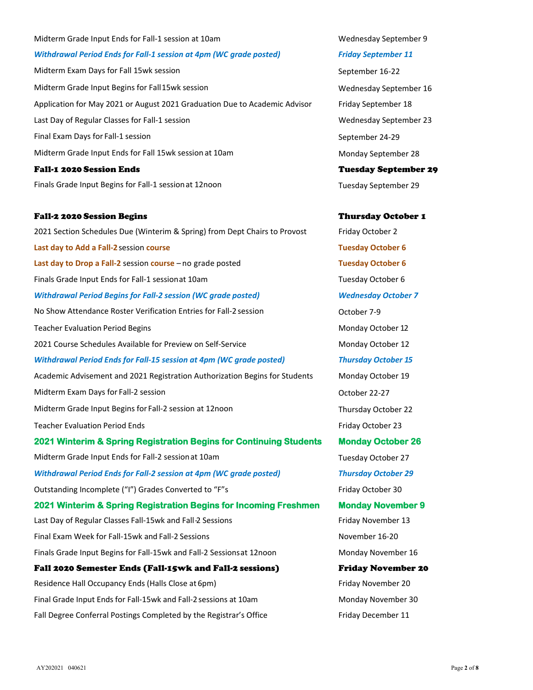# Midterm Exam Days for Fall 15wk session September 16-22 Midterm Grade Input Begins for Fall15wk session Wednesday September 16 Application for May 2021 or August 2021 Graduation Due to Academic Advisor Friday September 18 Last Day of Regular Classes for Fall-1 session Number 23 and Number 23 and Number 23 and Number 23 and Number 23 Final Exam Days for Fall-1 session September 24-29 Midterm Grade Input Ends for Fall 15wk session at 10am Monday September 28 Fall-1 2020 Session Ends Tuesday September 29 Finals Grade Input Begins for Fall-1 session at 12noon Tuesday September 29 Fall-2 2020 Session Begins Thursday October 1 2021 Section Schedules Due (Winterim & Spring) from Dept Chairs to Provost Friday October 2 **Last day to Add a Fall-2**session **course Tuesday October 6 Last day to Drop a Fall-2** session **course** – no grade posted **Tuesday October 6** Finals Grade Input Ends for Fall-1 sessionat 10am Tuesday October 6 *Withdrawal Period Begins for Fall-2 session (WC grade posted) Wednesday October 7* No Show Attendance Roster Verification Entries for Fall-2 session October 7-9 Teacher Evaluation Period Begins Monday October 12 2021 Course Schedules Available for Preview on Self-Service Monday October 12 *Withdrawal Period Ends for Fall-15 session at 4pm (WC grade posted) Thursday October 15* Academic Advisement and 2021 Registration Authorization Begins for Students Monday October 19 Midterm Exam Days for Fall-2 session Controller Controller Controller Controller Controller 22-27 Midterm Grade Input Begins for Fall-2 session at 12noon Thursday October 22 Teacher Evaluation Period Ends Friday October 23 **2021 Winterim & Spring Registration Begins for Continuing Students Monday October 26**  Midterm Grade Input Ends for Fall-2 session at 10am Tuesday October 27 *Withdrawal Period Ends for Fall-2 session at 4pm (WC grade posted) Thursday October 29* Outstanding Incomplete ("I") Grades Converted to "F"s Friday October 30 **2021 Winterim & Spring Registration Begins for Incoming Freshmen Monday November 9**  Last Day of Regular Classes Fall-15wk and Fall-2 Sessions Friday November 13

Final Exam Week for Fall-15wk and Fall-2 Sessions November 16-20 Finals Grade Input Begins for Fall-15wk and Fall-2 Sessions at 12noon Monday November 16 Fall 2020 Semester Ends (Fall-15wk and Fall-2 sessions) Friday November 20 Residence Hall Occupancy Ends (Halls Close at 6pm) Friday November 20

Final Grade Input Ends for Fall-15wk and Fall-2 sessions at 10am Monday November 30 Fall Degree Conferral Postings Completed by the Registrar's Office Friday December 11

Midterm Grade Input Ends for Fall-1 session at 10am Number 2014 10am Wednesday September 9

*Withdrawal Period Ends for Fall-1 session at 4pm (WC grade posted) Friday September 11*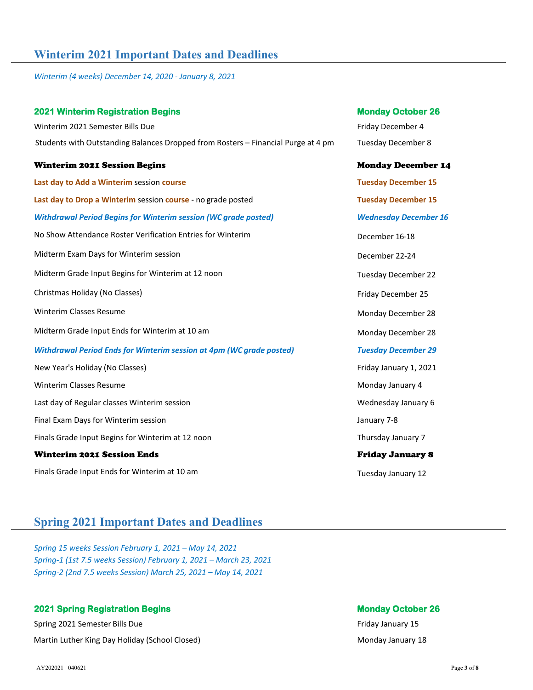### **Winterim 2021 Important Dates and Deadlines**

*Winterim (4 weeks) December 14, 2020 - January 8, 2021*

| <b>2021 Winterim Registration Begins</b>                                          | <b>Monday October 26</b>     |
|-----------------------------------------------------------------------------------|------------------------------|
| Winterim 2021 Semester Bills Due                                                  | Friday December 4            |
| Students with Outstanding Balances Dropped from Rosters - Financial Purge at 4 pm | <b>Tuesday December 8</b>    |
| <b>Winterim 2021 Session Begins</b>                                               | <b>Monday December 14</b>    |
| Last day to Add a Winterim session course                                         | <b>Tuesday December 15</b>   |
| Last day to Drop a Winterim session course - no grade posted                      | <b>Tuesday December 15</b>   |
| <b>Withdrawal Period Begins for Winterim session (WC grade posted)</b>            | <b>Wednesday December 16</b> |
| No Show Attendance Roster Verification Entries for Winterim                       | December 16-18               |
| Midterm Exam Days for Winterim session                                            | December 22-24               |
| Midterm Grade Input Begins for Winterim at 12 noon                                | <b>Tuesday December 22</b>   |
| Christmas Holiday (No Classes)                                                    | Friday December 25           |
| <b>Winterim Classes Resume</b>                                                    | Monday December 28           |
| Midterm Grade Input Ends for Winterim at 10 am                                    | Monday December 28           |
| <b>Withdrawal Period Ends for Winterim session at 4pm (WC grade posted)</b>       | <b>Tuesday December 29</b>   |
| New Year's Holiday (No Classes)                                                   | Friday January 1, 2021       |
| Winterim Classes Resume                                                           | Monday January 4             |
| Last day of Regular classes Winterim session                                      | Wednesday January 6          |
| Final Exam Days for Winterim session                                              | January 7-8                  |
| Finals Grade Input Begins for Winterim at 12 noon                                 | Thursday January 7           |
| <b>Winterim 2021 Session Ends</b>                                                 | <b>Friday January 8</b>      |
| Finals Grade Input Ends for Winterim at 10 am                                     | Tuesday January 12           |

### **Spring 2021 Important Dates and Deadlines**

*Spring 15 weeks Session February 1, 2021 – May 14, 2021 Spring-1 (1st 7.5 weeks Session) February 1, 2021 – March 23, 2021 Spring-2 (2nd 7.5 weeks Session) March 25, 2021 – May 14, 2021*

### **2021 Spring Registration Begins Monday October 26 April 2021 Spring Registration Begins Monday October 26 April 2021 Spring April 2021 Spring April 2021 Spring April 2021 Spring April 2022 Spring April 2022 Spring April 2**

Spring 2021 Semester Bills Due **Friday January 15 Friday January 15 Friday January 15** Martin Luther King Day Holiday (School Closed) Monday January 18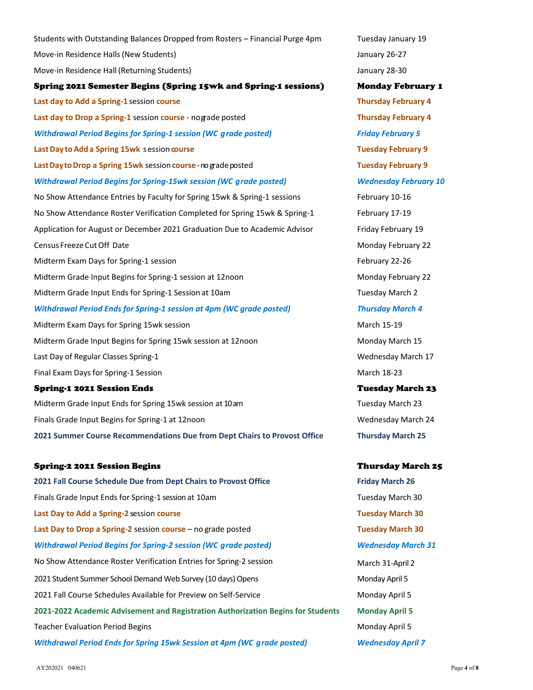Move-in Residence Halls (New Students) and the students of the students of the students of the students of the students of the students of the students of the students of the students of the students of the students of the Move-in Residence Hall (Returning Students) and the students of the students of the students of the students of the students of the students of the students of the students of the students of the students of the students o Spring 2021 Semester Begins (Spring 15wk and Spring-1 sessions) Monday February 1 **Last day to Add a Spring-1** session **course Thursday February 4 Last day to Drop a Spring-1** session **course** - nograde posted **Thursday February 4** *Withdrawal Period Begins for Spring-1 session (WC grade posted) Friday February 5* **Last Day to Add a Spring 15wk** session **course Tuesday February 9 LastDaytoDrop a Spring 15wk** session**course**-nogradeposted **Tuesday February 9** *Withdrawal Period Begins for Spring-15wk session (WC grade posted) Wednesday February 10* No Show Attendance Entries by Faculty for Spring 15wk & Spring-1 sessions February 10-16 No Show Attendance Roster Verification Completed for Spring 15wk & Spring-1 February 17-19 Application for August or December 2021 Graduation Due to Academic Advisor Friday February 19 Census Freeze Cut Off Date November 22 and 20 and 22 and 20 and 20 and 20 and 20 and 20 and 20 and 20 and 20 and 20 and 20 and 20 and 20 and 20 and 20 and 20 and 20 and 20 and 20 and 20 and 20 and 20 and 20 and 20 and 20 a Midterm Exam Days for Spring-1 session February 22-26 Midterm Grade Input Begins for Spring-1 session at 12noon Monday February 22 Midterm Grade Input Ends for Spring-1 Session at 10am Tuesday March 2 *Withdrawal Period Ends for Spring-1 session at 4pm (WC grade posted) Thursday March 4* Midterm Exam Days for Spring 15wk session March 15-19 March 15-19 Midterm Grade Input Begins for Spring 15wk session at 12noon Monday March 15 Last Day of Regular Classes Spring-1 Wednesday March 17 Final Exam Days for Spring-1 Session March 18-23 Spring-1 2021 Session Ends Tuesday March 23 Midterm Grade Input Ends for Spring 15wk session at 10am Tuesday March 23 Finals Grade Input Begins for Spring-1 at 12noon New York Wednesday March 24 **2021 Summer Course Recommendations Due from Dept Chairs to Provost Office Thursday March 25** Spring-2 2021 Session Begins Thursday March 25 **2021 Fall Course Schedule Due from Dept Chairs to Provost Office Friday March 26** Finals Grade Input Ends for Spring-1 session at 10am Tuesday March 30 **Last Day to Add a Spring-2** session **course Tuesday March 30 Last Day to Drop a Spring-2** session **course** – no grade posted **Tuesday March 30** *Withdrawal Period Begins for Spring-2 session (WC grade posted) Wednesday March 31* No Show Attendance Roster Verification Entries for Spring-2 session March 31-April 2 2021 Student Summer School Demand Web Survey (10 days) Opens Monday April 5 2021 Fall Course Schedules Available for Preview on Self-Service Monday April 5

Students with Outstanding Balances Dropped from Rosters – Financial Purge 4pm Tuesday January 19

**2021-2022 Academic Advisement and Registration Authorization Begins for Students Monday April 5** Teacher Evaluation Period Begins **Monday April 5** and the Unit of the Monday April 5 *Withdrawal Period Ends for Spring 15wk Session at 4pm (WC grade posted) Wednesday April 7*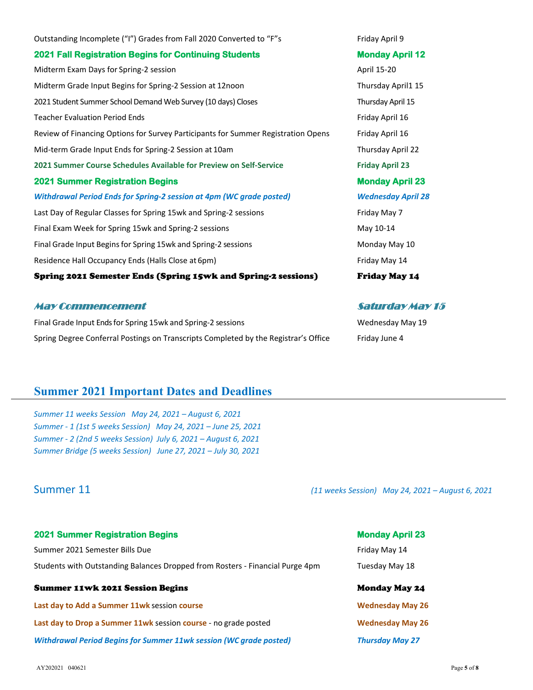Outstanding Incomplete ("I") Grades from Fall 2020 Converted to "F"s Friday April 9 **2021 Fall Registration Begins for Continuing Students Monday April 12**  Midterm Exam Days for Spring-2 session April 15-20 Midterm Grade Input Begins for Spring-2 Session at 12noon Thursday April1 15 2021 Student Summer School Demand Web Survey (10 days) Closes Thursday April 15 Teacher Evaluation Period Ends Friday April 16 Review of Financing Options for Survey Participants for Summer Registration Opens Friday April 16 Mid-term Grade Input Ends for Spring-2 Session at 10am Thursday April 22 **2021 Summer Course Schedules Available for Preview on Self-Service Friday April 23 2021 Summer Registration Begins Monday April 23**  *Withdrawal Period Ends for Spring-2 session at 4pm (WC grade posted) Wednesday April 28* Last Day of Regular Classes for Spring 15wk and Spring-2 sessions Friday May 7 Final Exam Week for Spring 15wk and Spring-2 sessions May 10-14 Final Grade Input Begins for Spring 15wk and Spring-2 sessions Monday May 10 Residence Hall Occupancy Ends (Halls Close at 6pm) Friday May 14 Spring 2021 Semester Ends (Spring 15wk and Spring-2 sessions) Friday May 14

### May Commencement Saturday May 15

Final Grade Input Ends for Spring 15wk and Spring-2 sessions Wednesday May 19 Spring Degree Conferral Postings on Transcripts Completed by the Registrar's Office Friday June 4

### **Summer 2021 Important Dates and Deadlines**

*Summer 11 weeks Session May 24, 2021 – August 6, 2021 Summer - 1 (1st 5 weeks Session) May 24, 2021 – June 25, 2021 Summer - 2 (2nd 5 weeks Session) July 6, 2021 – August 6, 2021 Summer Bridge (5 weeks Session) June 27, 2021 – July 30, 2021*

| <b>2021 Summer Registration Begins</b> | <b>Monday April 23</b> |
|----------------------------------------|------------------------|
|                                        |                        |

Summer 2021 Semester Bills Due Friday May 14 Students with Outstanding Balances Dropped from Rosters - Financial Purge 4pm Tuesday May 18

### Summer 11wk 2021 Session Begins Monday May 24

**Last day to Add a Summer 11wk** session course **by a strategies of the Summer Course of the Wednesday May 26 Last day to Drop a Summer 11wk** session **course** - no grade posted **Wednesday May 26** *Withdrawal Period Begins for Summer 11wk session (WC grade posted) Thursday May 27*

Summer 11 *(11 weeks Session) May 24, 2021 – August 6, 2021*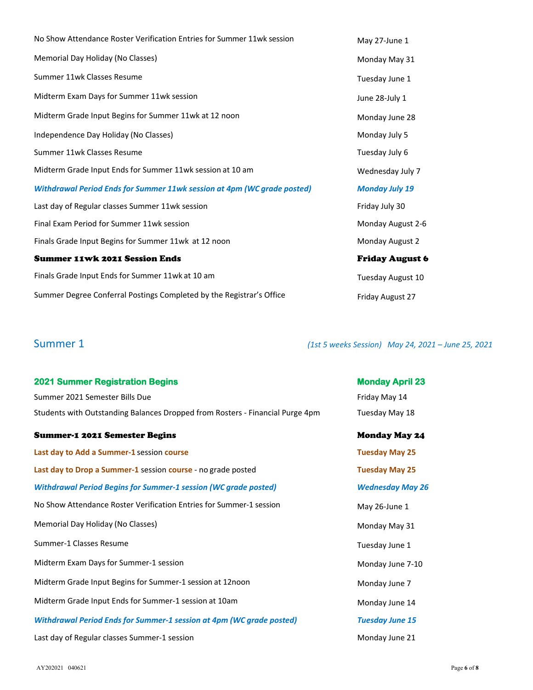| No Show Attendance Roster Verification Entries for Summer 11wk session         | May 27-June 1           |
|--------------------------------------------------------------------------------|-------------------------|
| Memorial Day Holiday (No Classes)                                              | Monday May 31           |
| Summer 11wk Classes Resume                                                     | Tuesday June 1          |
| Midterm Exam Days for Summer 11wk session                                      | June 28-July 1          |
| Midterm Grade Input Begins for Summer 11wk at 12 noon                          | Monday June 28          |
| Independence Day Holiday (No Classes)                                          | Monday July 5           |
| Summer 11wk Classes Resume                                                     | Tuesday July 6          |
| Midterm Grade Input Ends for Summer 11wk session at 10 am                      | Wednesday July 7        |
| <b>Withdrawal Period Ends for Summer 11wk session at 4pm (WC grade posted)</b> | <b>Monday July 19</b>   |
| Last day of Regular classes Summer 11wk session                                | Friday July 30          |
| Final Exam Period for Summer 11wk session                                      | Monday August 2-6       |
| Finals Grade Input Begins for Summer 11wk at 12 noon                           | Monday August 2         |
| <b>Summer 11wk 2021 Session Ends</b>                                           | <b>Friday August 6</b>  |
| Finals Grade Input Ends for Summer 11wk at 10 am                               | Tuesday August 10       |
| Summer Degree Conferral Postings Completed by the Registrar's Office           | <b>Friday August 27</b> |

Summer 1 *(1st 5 weeks Session) May 24, 2021 – June 25, 2021*

| <b>2021 Summer Registration Begins</b>                                        | <b>Monday April 23</b>  |
|-------------------------------------------------------------------------------|-------------------------|
| Summer 2021 Semester Bills Due                                                | Friday May 14           |
| Students with Outstanding Balances Dropped from Rosters - Financial Purge 4pm | Tuesday May 18          |
| <b>Summer-1 2021 Semester Begins</b>                                          | <b>Monday May 24</b>    |
| Last day to Add a Summer-1 session course                                     | <b>Tuesday May 25</b>   |
| Last day to Drop a Summer-1 session course - no grade posted                  | <b>Tuesday May 25</b>   |
| <b>Withdrawal Period Begins for Summer-1 session (WC grade posted)</b>        | <b>Wednesday May 26</b> |
| No Show Attendance Roster Verification Entries for Summer-1 session           | May 26-June 1           |
| Memorial Day Holiday (No Classes)                                             | Monday May 31           |
| Summer-1 Classes Resume                                                       | Tuesday June 1          |
| Midterm Exam Days for Summer-1 session                                        | Monday June 7-10        |
| Midterm Grade Input Begins for Summer-1 session at 12noon                     | Monday June 7           |
| Midterm Grade Input Ends for Summer-1 session at 10am                         | Monday June 14          |
| <b>Withdrawal Period Ends for Summer-1 session at 4pm (WC grade posted)</b>   | <b>Tuesday June 15</b>  |
| Last day of Regular classes Summer-1 session                                  | Monday June 21          |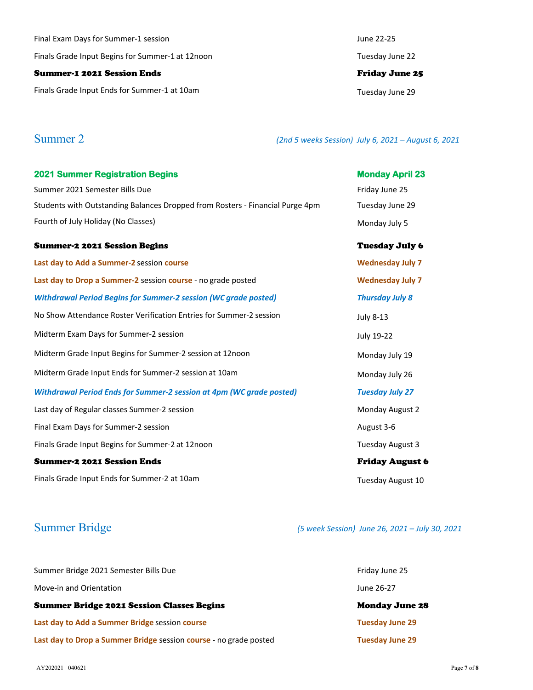Final Exam Days for Summer-1 session June 22-25 Finals Grade Input Begins for Summer-1 at 12noon Tuesday June 22

### Summer-1 2021 Session Ends Friday June 25

Finals Grade Input Ends for Summer-1 at 10am decrees the control of the Tuesday June 29

Summer 2 *(2nd 5 weeks Session) July 6, 2021 – August 6, 2021*

| <b>2021 Summer Registration Begins</b>                                        | <b>Monday April 23</b>  |
|-------------------------------------------------------------------------------|-------------------------|
| Summer 2021 Semester Bills Due                                                | Friday June 25          |
| Students with Outstanding Balances Dropped from Rosters - Financial Purge 4pm | Tuesday June 29         |
| Fourth of July Holiday (No Classes)                                           | Monday July 5           |
| Summer-2 2021 Session Begins                                                  | <b>Tuesday July 6</b>   |
| Last day to Add a Summer-2 session course                                     | <b>Wednesday July 7</b> |
| Last day to Drop a Summer-2 session course - no grade posted                  | <b>Wednesday July 7</b> |
| <b>Withdrawal Period Begins for Summer-2 session (WC grade posted)</b>        | <b>Thursday July 8</b>  |
| No Show Attendance Roster Verification Entries for Summer-2 session           | <b>July 8-13</b>        |
| Midterm Exam Days for Summer-2 session                                        | July 19-22              |
| Midterm Grade Input Begins for Summer-2 session at 12noon                     | Monday July 19          |
| Midterm Grade Input Ends for Summer-2 session at 10am                         | Monday July 26          |
| <b>Withdrawal Period Ends for Summer-2 session at 4pm (WC grade posted)</b>   | <b>Tuesday July 27</b>  |
| Last day of Regular classes Summer-2 session                                  | Monday August 2         |
| Final Exam Days for Summer-2 session                                          | August 3-6              |
| Finals Grade Input Begins for Summer-2 at 12noon                              | Tuesday August 3        |
| <b>Summer-2 2021 Session Ends</b>                                             | <b>Friday August 6</b>  |
| Finals Grade Input Ends for Summer-2 at 10am                                  | Tuesday August 10       |

## Summer Bridge *(5 week Session) June 26, 2021 – July 30, 2021*

| Summer Bridge 2021 Semester Bills Due                             | Friday June 25         |
|-------------------------------------------------------------------|------------------------|
| Move-in and Orientation                                           | June 26-27             |
| <b>Summer Bridge 2021 Session Classes Begins</b>                  | <b>Monday June 28</b>  |
| Last day to Add a Summer Bridge session course                    | <b>Tuesday June 29</b> |
| Last day to Drop a Summer Bridge session course - no grade posted | <b>Tuesday June 29</b> |